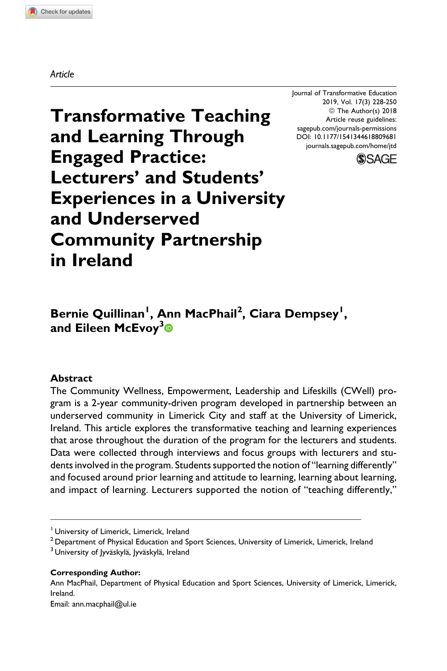#### Article

Journal of Transformative Education 2019, Vol. 17(3) 228-250 ª The Author(s) 2018 Article reuse guidelines: [sagepub.com/journals-permissions](https://sagepub.com/journals-permissions) [DOI: 10.1177/1541344618809681](https://doi.org/10.1177/1541344618809681) [journals.sagepub.com/home/jtd](http://journals.sagepub.com/home/jtd)



Transformative Teaching and Learning Through Engaged Practice: Lecturers' and Students' Experiences in a University and Underserved Community Partnership in Ireland

Bernie Quillinan<sup>1</sup>, Ann MacPhail<sup>2</sup>, Ciara Dempsey<sup>1</sup>, and Eileen McEvoy<sup>3</sup><sup>®</sup>

#### Abstract

The Community Wellness, Empowerment, Leadership and Lifeskills (CWell) program is a 2-year community-driven program developed in partnership between an underserved community in Limerick City and staff at the University of Limerick, Ireland. This article explores the transformative teaching and learning experiences that arose throughout the duration of the program for the lecturers and students. Data were collected through interviews and focus groups with lecturers and students involved in the program. Students supported the notion of "learning differently" and focused around prior learning and attitude to learning, learning about learning, and impact of learning. Lecturers supported the notion of "teaching differently,"

 $2$  Department of Physical Education and Sport Sciences, University of Limerick, Limerick, Ireland

<sup>&</sup>lt;sup>1</sup> University of Limerick, Limerick, Ireland

<sup>&</sup>lt;sup>3</sup> University of Jyväskylä, Jyväskylä, Ireland

Corresponding Author: Ann MacPhail, Department of Physical Education and Sport Sciences, University of Limerick, Limerick, Ireland. Email: [ann.macphail@ul.ie](mailto:ann.macphail@ul.ie)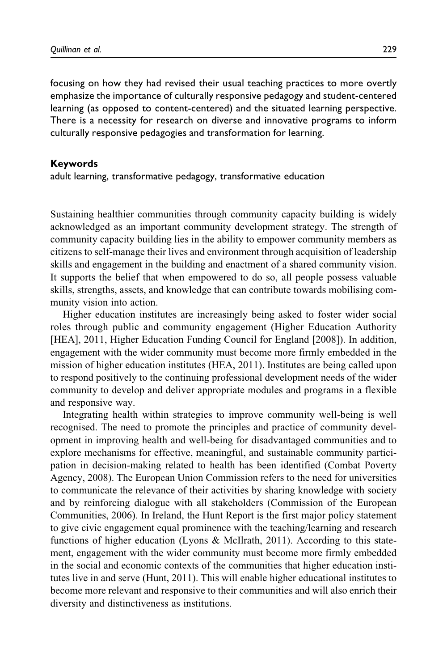focusing on how they had revised their usual teaching practices to more overtly emphasize the importance of culturally responsive pedagogy and student-centered learning (as opposed to content-centered) and the situated learning perspective. There is a necessity for research on diverse and innovative programs to inform culturally responsive pedagogies and transformation for learning.

#### Keywords

adult learning, transformative pedagogy, transformative education

Sustaining healthier communities through community capacity building is widely acknowledged as an important community development strategy. The strength of community capacity building lies in the ability to empower community members as citizens to self-manage their lives and environment through acquisition of leadership skills and engagement in the building and enactment of a shared community vision. It supports the belief that when empowered to do so, all people possess valuable skills, strengths, assets, and knowledge that can contribute towards mobilising community vision into action.

Higher education institutes are increasingly being asked to foster wider social roles through public and community engagement (Higher Education Authority [HEA], 2011, Higher Education Funding Council for England [2008]). In addition, engagement with the wider community must become more firmly embedded in the mission of higher education institutes (HEA, 2011). Institutes are being called upon to respond positively to the continuing professional development needs of the wider community to develop and deliver appropriate modules and programs in a flexible and responsive way.

Integrating health within strategies to improve community well-being is well recognised. The need to promote the principles and practice of community development in improving health and well-being for disadvantaged communities and to explore mechanisms for effective, meaningful, and sustainable community participation in decision-making related to health has been identified (Combat Poverty Agency, 2008). The European Union Commission refers to the need for universities to communicate the relevance of their activities by sharing knowledge with society and by reinforcing dialogue with all stakeholders (Commission of the European Communities, 2006). In Ireland, the Hunt Report is the first major policy statement to give civic engagement equal prominence with the teaching/learning and research functions of higher education (Lyons & McIlrath, 2011). According to this statement, engagement with the wider community must become more firmly embedded in the social and economic contexts of the communities that higher education institutes live in and serve (Hunt, 2011). This will enable higher educational institutes to become more relevant and responsive to their communities and will also enrich their diversity and distinctiveness as institutions.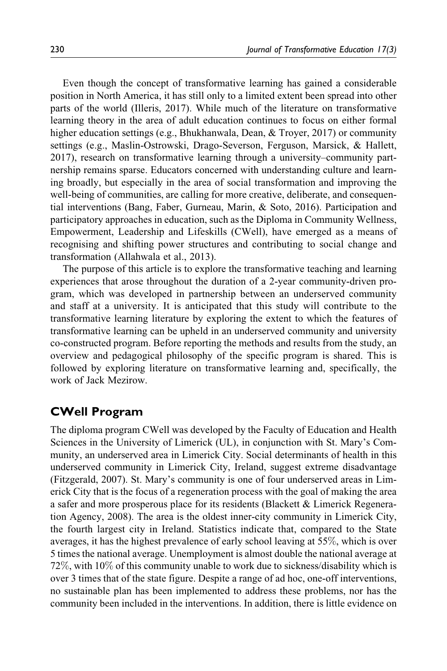Even though the concept of transformative learning has gained a considerable position in North America, it has still only to a limited extent been spread into other parts of the world (Illeris, 2017). While much of the literature on transformative learning theory in the area of adult education continues to focus on either formal higher education settings (e.g., Bhukhanwala, Dean, & Troyer, 2017) or community settings (e.g., Maslin-Ostrowski, Drago-Severson, Ferguson, Marsick, & Hallett, 2017), research on transformative learning through a university–community partnership remains sparse. Educators concerned with understanding culture and learning broadly, but especially in the area of social transformation and improving the well-being of communities, are calling for more creative, deliberate, and consequential interventions (Bang, Faber, Gurneau, Marin, & Soto, 2016). Participation and participatory approaches in education, such as the Diploma in Community Wellness, Empowerment, Leadership and Lifeskills (CWell), have emerged as a means of recognising and shifting power structures and contributing to social change and transformation (Allahwala et al., 2013).

The purpose of this article is to explore the transformative teaching and learning experiences that arose throughout the duration of a 2-year community-driven program, which was developed in partnership between an underserved community and staff at a university. It is anticipated that this study will contribute to the transformative learning literature by exploring the extent to which the features of transformative learning can be upheld in an underserved community and university co-constructed program. Before reporting the methods and results from the study, an overview and pedagogical philosophy of the specific program is shared. This is followed by exploring literature on transformative learning and, specifically, the work of Jack Mezirow.

# CWell Program

The diploma program CWell was developed by the Faculty of Education and Health Sciences in the University of Limerick (UL), in conjunction with St. Mary's Community, an underserved area in Limerick City. Social determinants of health in this underserved community in Limerick City, Ireland, suggest extreme disadvantage (Fitzgerald, 2007). St. Mary's community is one of four underserved areas in Limerick City that is the focus of a regeneration process with the goal of making the area a safer and more prosperous place for its residents (Blackett & Limerick Regeneration Agency, 2008). The area is the oldest inner-city community in Limerick City, the fourth largest city in Ireland. Statistics indicate that, compared to the State averages, it has the highest prevalence of early school leaving at 55%, which is over 5 times the national average. Unemployment is almost double the national average at 72%, with 10% of this community unable to work due to sickness/disability which is over 3 times that of the state figure. Despite a range of ad hoc, one-off interventions, no sustainable plan has been implemented to address these problems, nor has the community been included in the interventions. In addition, there is little evidence on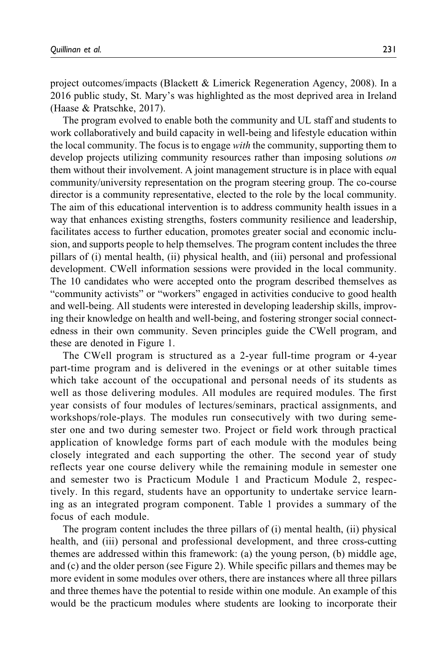project outcomes/impacts (Blackett & Limerick Regeneration Agency, 2008). In a 2016 public study, St. Mary's was highlighted as the most deprived area in Ireland (Haase & Pratschke, 2017).

The program evolved to enable both the community and UL staff and students to work collaboratively and build capacity in well-being and lifestyle education within the local community. The focus is to engage with the community, supporting them to develop projects utilizing community resources rather than imposing solutions *on* them without their involvement. A joint management structure is in place with equal community/university representation on the program steering group. The co-course director is a community representative, elected to the role by the local community. The aim of this educational intervention is to address community health issues in a way that enhances existing strengths, fosters community resilience and leadership, facilitates access to further education, promotes greater social and economic inclusion, and supports people to help themselves. The program content includes the three pillars of (i) mental health, (ii) physical health, and (iii) personal and professional development. CWell information sessions were provided in the local community. The 10 candidates who were accepted onto the program described themselves as "community activists" or "workers" engaged in activities conducive to good health and well-being. All students were interested in developing leadership skills, improving their knowledge on health and well-being, and fostering stronger social connectedness in their own community. Seven principles guide the CWell program, and these are denoted in Figure 1.

The CWell program is structured as a 2-year full-time program or 4-year part-time program and is delivered in the evenings or at other suitable times which take account of the occupational and personal needs of its students as well as those delivering modules. All modules are required modules. The first year consists of four modules of lectures/seminars, practical assignments, and workshops/role-plays. The modules run consecutively with two during semester one and two during semester two. Project or field work through practical application of knowledge forms part of each module with the modules being closely integrated and each supporting the other. The second year of study reflects year one course delivery while the remaining module in semester one and semester two is Practicum Module 1 and Practicum Module 2, respectively. In this regard, students have an opportunity to undertake service learning as an integrated program component. Table 1 provides a summary of the focus of each module.

The program content includes the three pillars of (i) mental health, (ii) physical health, and (iii) personal and professional development, and three cross-cutting themes are addressed within this framework: (a) the young person, (b) middle age, and (c) and the older person (see Figure 2). While specific pillars and themes may be more evident in some modules over others, there are instances where all three pillars and three themes have the potential to reside within one module. An example of this would be the practicum modules where students are looking to incorporate their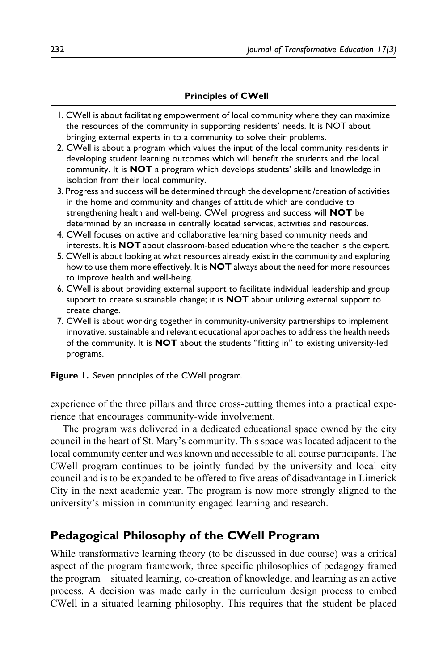### Principles of CWell

- 1. CWell is about facilitating empowerment of local community where they can maximize the resources of the community in supporting residents' needs. It is NOT about bringing external experts in to a community to solve their problems.
- 2. CWell is about a program which values the input of the local community residents in developing student learning outcomes which will benefit the students and the local community. It is NOT a program which develops students' skills and knowledge in isolation from their local community.
- 3. Progress and success will be determined through the development /creation of activities in the home and community and changes of attitude which are conducive to strengthening health and well-being. CWell progress and success will NOT be determined by an increase in centrally located services, activities and resources.
- 4. CWell focuses on active and collaborative learning based community needs and interests. It is NOT about classroom-based education where the teacher is the expert.
- 5. CWell is about looking at what resources already exist in the community and exploring how to use them more effectively. It is **NOT** always about the need for more resources to improve health and well-being.
- 6. CWell is about providing external support to facilitate individual leadership and group support to create sustainable change; it is **NOT** about utilizing external support to create change.
- 7. CWell is about working together in community-university partnerships to implement innovative, sustainable and relevant educational approaches to address the health needs of the community. It is **NOT** about the students "fitting in" to existing university-led programs.



experience of the three pillars and three cross-cutting themes into a practical experience that encourages community-wide involvement.

The program was delivered in a dedicated educational space owned by the city council in the heart of St. Mary's community. This space was located adjacent to the local community center and was known and accessible to all course participants. The CWell program continues to be jointly funded by the university and local city council and is to be expanded to be offered to five areas of disadvantage in Limerick City in the next academic year. The program is now more strongly aligned to the university's mission in community engaged learning and research.

# Pedagogical Philosophy of the CWell Program

While transformative learning theory (to be discussed in due course) was a critical aspect of the program framework, three specific philosophies of pedagogy framed the program—situated learning, co-creation of knowledge, and learning as an active process. A decision was made early in the curriculum design process to embed CWell in a situated learning philosophy. This requires that the student be placed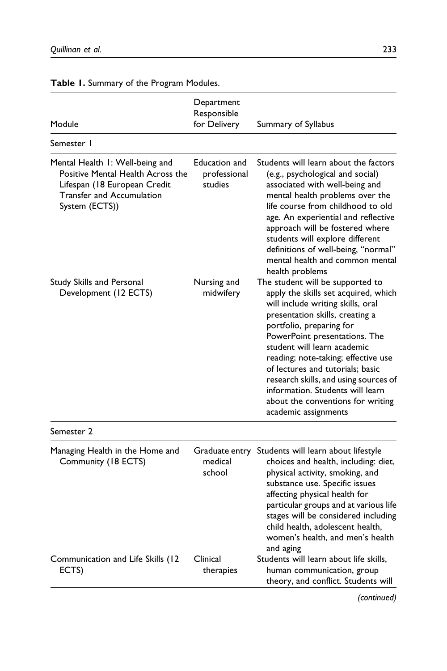| Module                                                                                                                                                     | Department<br>Responsible<br>for Delivery | Summary of Syllabus                                                                                                                                                                                                                                                                                                                                                                                                                                               |
|------------------------------------------------------------------------------------------------------------------------------------------------------------|-------------------------------------------|-------------------------------------------------------------------------------------------------------------------------------------------------------------------------------------------------------------------------------------------------------------------------------------------------------------------------------------------------------------------------------------------------------------------------------------------------------------------|
| Semester 1                                                                                                                                                 |                                           |                                                                                                                                                                                                                                                                                                                                                                                                                                                                   |
| Mental Health 1: Well-being and<br>Positive Mental Health Across the<br>Lifespan (18 European Credit<br><b>Transfer and Accumulation</b><br>System (ECTS)) | Education and<br>professional<br>studies  | Students will learn about the factors<br>(e.g., psychological and social)<br>associated with well-being and<br>mental health problems over the<br>life course from childhood to old<br>age. An experiential and reflective<br>approach will be fostered where<br>students will explore different<br>definitions of well-being, "normal"<br>mental health and common mental<br>health problems                                                                     |
| Study Skills and Personal<br>Development (12 ECTS)                                                                                                         | Nursing and<br>midwifery                  | The student will be supported to<br>apply the skills set acquired, which<br>will include writing skills, oral<br>presentation skills, creating a<br>portfolio, preparing for<br>PowerPoint presentations. The<br>student will learn academic<br>reading; note-taking; effective use<br>of lectures and tutorials: basic<br>research skills, and using sources of<br>information. Students will learn<br>about the conventions for writing<br>academic assignments |
| Semester 2                                                                                                                                                 |                                           |                                                                                                                                                                                                                                                                                                                                                                                                                                                                   |
| Managing Health in the Home and<br>Community (18 ECTS)                                                                                                     | medical<br>school                         | Graduate entry Students will learn about lifestyle<br>choices and health, including: diet,<br>physical activity, smoking, and<br>substance use. Specific issues<br>affecting physical health for<br>particular groups and at various life<br>stages will be considered including<br>child health, adolescent health,<br>women's health, and men's health<br>and aging                                                                                             |
| Communication and Life Skills (12<br>ECTS)                                                                                                                 | Clinical<br>therapies                     | Students will learn about life skills,<br>human communication, group<br>theory, and conflict. Students will                                                                                                                                                                                                                                                                                                                                                       |

Table 1. Summary of the Program Modules.

(continued)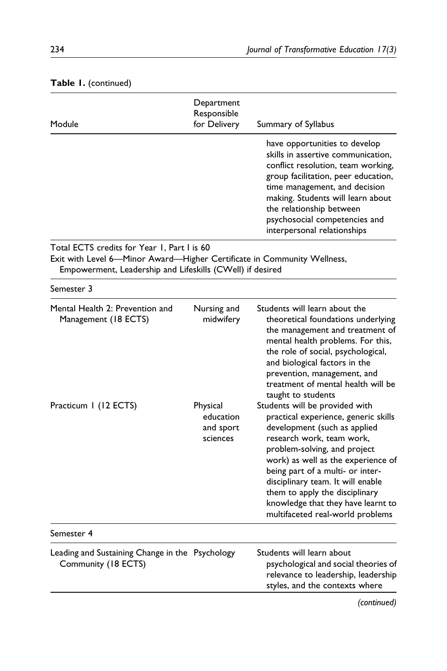| Module                                                                                                                                                                              | Department<br>Responsible<br>for Delivery      | Summary of Syllabus                                                                                                                                                                                                                                                                                                                                                                            |
|-------------------------------------------------------------------------------------------------------------------------------------------------------------------------------------|------------------------------------------------|------------------------------------------------------------------------------------------------------------------------------------------------------------------------------------------------------------------------------------------------------------------------------------------------------------------------------------------------------------------------------------------------|
|                                                                                                                                                                                     |                                                | have opportunities to develop<br>skills in assertive communication,<br>conflict resolution, team working,<br>group facilitation, peer education,<br>time management, and decision<br>making. Students will learn about<br>the relationship between<br>psychosocial competencies and<br>interpersonal relationships                                                                             |
| Total ECTS credits for Year 1, Part I is 60<br>Exit with Level 6-Minor Award-Higher Certificate in Community Wellness,<br>Empowerment, Leadership and Lifeskills (CWell) if desired |                                                |                                                                                                                                                                                                                                                                                                                                                                                                |
| Semester 3                                                                                                                                                                          |                                                |                                                                                                                                                                                                                                                                                                                                                                                                |
| Mental Health 2: Prevention and<br>Management (18 ECTS)                                                                                                                             | Nursing and<br>midwifery                       | Students will learn about the<br>theoretical foundations underlying<br>the management and treatment of<br>mental health problems. For this,<br>the role of social, psychological,<br>and biological factors in the<br>prevention, management, and<br>treatment of mental health will be<br>taught to students                                                                                  |
| Practicum 1 (12 ECTS)                                                                                                                                                               | Physical<br>education<br>and sport<br>sciences | Students will be provided with<br>practical experience, generic skills<br>development (such as applied<br>research work, team work,<br>problem-solving, and project<br>work) as well as the experience of<br>being part of a multi- or inter-<br>disciplinary team. It will enable<br>them to apply the disciplinary<br>knowledge that they have learnt to<br>multifaceted real-world problems |
| Semester 4                                                                                                                                                                          |                                                |                                                                                                                                                                                                                                                                                                                                                                                                |
| Leading and Sustaining Change in the Psychology<br>Community (18 ECTS)                                                                                                              |                                                | Students will learn about<br>psychological and social theories of<br>relevance to leadership, leadership<br>styles, and the contexts where                                                                                                                                                                                                                                                     |
|                                                                                                                                                                                     |                                                |                                                                                                                                                                                                                                                                                                                                                                                                |

## Table 1. (continued)

(continued)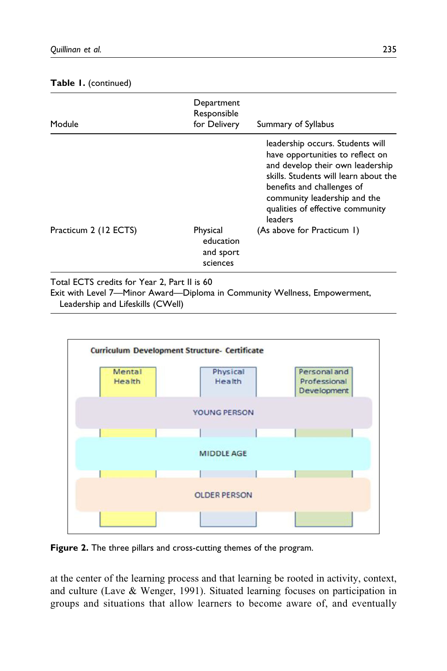| Module                | Department<br>Responsible<br>for Delivery      | Summary of Syllabus                                                                                                                                                                                                                                            |
|-----------------------|------------------------------------------------|----------------------------------------------------------------------------------------------------------------------------------------------------------------------------------------------------------------------------------------------------------------|
|                       |                                                | leadership occurs. Students will<br>have opportunities to reflect on<br>and develop their own leadership<br>skills. Students will learn about the<br>benefits and challenges of<br>community leadership and the<br>qualities of effective community<br>leaders |
| Practicum 2 (12 ECTS) | Physical<br>education<br>and sport<br>sciences | (As above for Practicum 1)                                                                                                                                                                                                                                     |

### Table 1. (continued)

Total ECTS credits for Year 2, Part II is 60

Exit with Level 7—Minor Award—Diploma in Community Wellness, Empowerment, Leadership and Lifeskills (CWell)



Figure 2. The three pillars and cross-cutting themes of the program.

at the center of the learning process and that learning be rooted in activity, context, and culture (Lave & Wenger, 1991). Situated learning focuses on participation in groups and situations that allow learners to become aware of, and eventually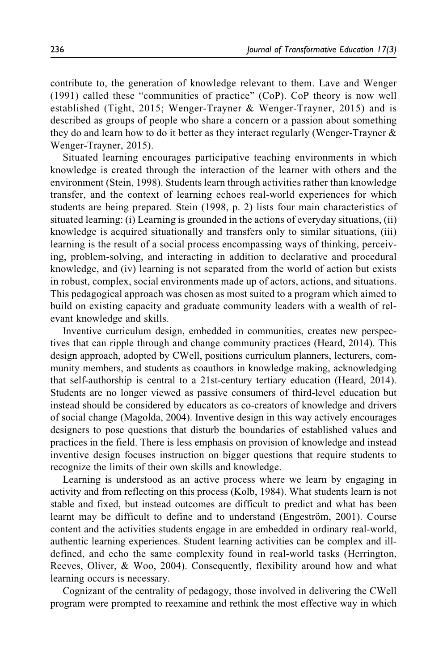contribute to, the generation of knowledge relevant to them. Lave and Wenger (1991) called these "communities of practice" (CoP). CoP theory is now well established (Tight, 2015; Wenger-Trayner & Wenger-Trayner, 2015) and is described as groups of people who share a concern or a passion about something they do and learn how to do it better as they interact regularly (Wenger-Trayner & Wenger-Trayner, 2015).

Situated learning encourages participative teaching environments in which knowledge is created through the interaction of the learner with others and the environment (Stein, 1998). Students learn through activities rather than knowledge transfer, and the context of learning echoes real-world experiences for which students are being prepared. Stein (1998, p. 2) lists four main characteristics of situated learning: (i) Learning is grounded in the actions of everyday situations, (ii) knowledge is acquired situationally and transfers only to similar situations, (iii) learning is the result of a social process encompassing ways of thinking, perceiving, problem-solving, and interacting in addition to declarative and procedural knowledge, and (iv) learning is not separated from the world of action but exists in robust, complex, social environments made up of actors, actions, and situations. This pedagogical approach was chosen as most suited to a program which aimed to build on existing capacity and graduate community leaders with a wealth of relevant knowledge and skills.

Inventive curriculum design, embedded in communities, creates new perspectives that can ripple through and change community practices (Heard, 2014). This design approach, adopted by CWell, positions curriculum planners, lecturers, community members, and students as coauthors in knowledge making, acknowledging that self-authorship is central to a 21st-century tertiary education (Heard, 2014). Students are no longer viewed as passive consumers of third-level education but instead should be considered by educators as co-creators of knowledge and drivers of social change (Magolda, 2004). Inventive design in this way actively encourages designers to pose questions that disturb the boundaries of established values and practices in the field. There is less emphasis on provision of knowledge and instead inventive design focuses instruction on bigger questions that require students to recognize the limits of their own skills and knowledge.

Learning is understood as an active process where we learn by engaging in activity and from reflecting on this process (Kolb, 1984). What students learn is not stable and fixed, but instead outcomes are difficult to predict and what has been learnt may be difficult to define and to understand (Engeström, 2001). Course content and the activities students engage in are embedded in ordinary real-world, authentic learning experiences. Student learning activities can be complex and illdefined, and echo the same complexity found in real-world tasks (Herrington, Reeves, Oliver, & Woo, 2004). Consequently, flexibility around how and what learning occurs is necessary.

Cognizant of the centrality of pedagogy, those involved in delivering the CWell program were prompted to reexamine and rethink the most effective way in which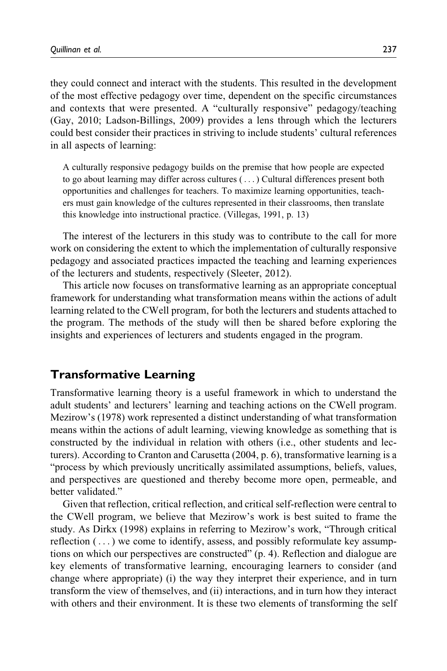they could connect and interact with the students. This resulted in the development of the most effective pedagogy over time, dependent on the specific circumstances and contexts that were presented. A "culturally responsive" pedagogy/teaching (Gay, 2010; Ladson-Billings, 2009) provides a lens through which the lecturers could best consider their practices in striving to include students' cultural references in all aspects of learning:

A culturally responsive pedagogy builds on the premise that how people are expected to go about learning may differ across cultures ( ...) Cultural differences present both opportunities and challenges for teachers. To maximize learning opportunities, teachers must gain knowledge of the cultures represented in their classrooms, then translate this knowledge into instructional practice. (Villegas, 1991, p. 13)

The interest of the lecturers in this study was to contribute to the call for more work on considering the extent to which the implementation of culturally responsive pedagogy and associated practices impacted the teaching and learning experiences of the lecturers and students, respectively (Sleeter, 2012).

This article now focuses on transformative learning as an appropriate conceptual framework for understanding what transformation means within the actions of adult learning related to the CWell program, for both the lecturers and students attached to the program. The methods of the study will then be shared before exploring the insights and experiences of lecturers and students engaged in the program.

# Transformative Learning

Transformative learning theory is a useful framework in which to understand the adult students' and lecturers' learning and teaching actions on the CWell program. Mezirow's (1978) work represented a distinct understanding of what transformation means within the actions of adult learning, viewing knowledge as something that is constructed by the individual in relation with others (i.e., other students and lecturers). According to Cranton and Carusetta (2004, p. 6), transformative learning is a "process by which previously uncritically assimilated assumptions, beliefs, values, and perspectives are questioned and thereby become more open, permeable, and better validated."

Given that reflection, critical reflection, and critical self-reflection were central to the CWell program, we believe that Mezirow's work is best suited to frame the study. As Dirkx (1998) explains in referring to Mezirow's work, "Through critical reflection  $(\ldots)$  we come to identify, assess, and possibly reformulate key assumptions on which our perspectives are constructed" (p. 4). Reflection and dialogue are key elements of transformative learning, encouraging learners to consider (and change where appropriate) (i) the way they interpret their experience, and in turn transform the view of themselves, and (ii) interactions, and in turn how they interact with others and their environment. It is these two elements of transforming the self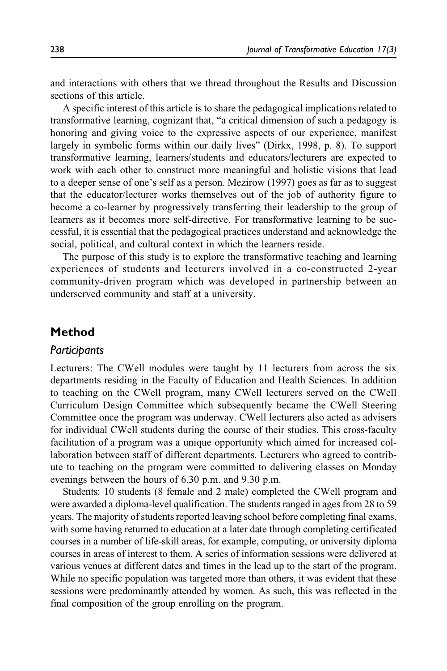and interactions with others that we thread throughout the Results and Discussion sections of this article.

A specific interest of this article is to share the pedagogical implications related to transformative learning, cognizant that, "a critical dimension of such a pedagogy is honoring and giving voice to the expressive aspects of our experience, manifest largely in symbolic forms within our daily lives" (Dirkx, 1998, p. 8). To support transformative learning, learners/students and educators/lecturers are expected to work with each other to construct more meaningful and holistic visions that lead to a deeper sense of one's self as a person. Mezirow (1997) goes as far as to suggest that the educator/lecturer works themselves out of the job of authority figure to become a co-learner by progressively transferring their leadership to the group of learners as it becomes more self-directive. For transformative learning to be successful, it is essential that the pedagogical practices understand and acknowledge the social, political, and cultural context in which the learners reside.

The purpose of this study is to explore the transformative teaching and learning experiences of students and lecturers involved in a co-constructed 2-year community-driven program which was developed in partnership between an underserved community and staff at a university.

## Method

### Participants

Lecturers: The CWell modules were taught by 11 lecturers from across the six departments residing in the Faculty of Education and Health Sciences. In addition to teaching on the CWell program, many CWell lecturers served on the CWell Curriculum Design Committee which subsequently became the CWell Steering Committee once the program was underway. CWell lecturers also acted as advisers for individual CWell students during the course of their studies. This cross-faculty facilitation of a program was a unique opportunity which aimed for increased collaboration between staff of different departments. Lecturers who agreed to contribute to teaching on the program were committed to delivering classes on Monday evenings between the hours of 6.30 p.m. and 9.30 p.m.

Students: 10 students (8 female and 2 male) completed the CWell program and were awarded a diploma-level qualification. The students ranged in ages from 28 to 59 years. The majority of students reported leaving school before completing final exams, with some having returned to education at a later date through completing certificated courses in a number of life-skill areas, for example, computing, or university diploma courses in areas of interest to them. A series of information sessions were delivered at various venues at different dates and times in the lead up to the start of the program. While no specific population was targeted more than others, it was evident that these sessions were predominantly attended by women. As such, this was reflected in the final composition of the group enrolling on the program.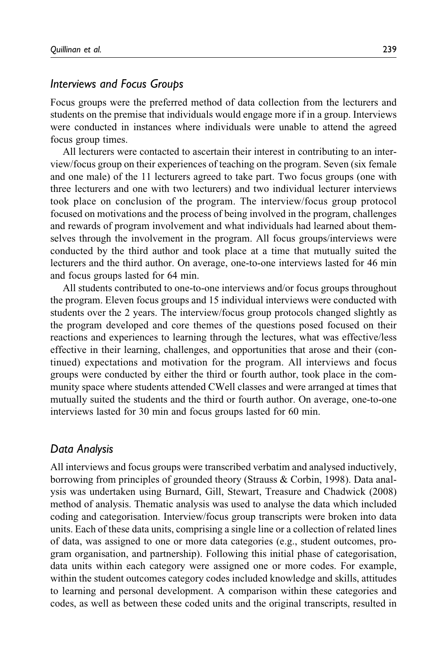## Interviews and Focus Groups

Focus groups were the preferred method of data collection from the lecturers and students on the premise that individuals would engage more if in a group. Interviews were conducted in instances where individuals were unable to attend the agreed focus group times.

All lecturers were contacted to ascertain their interest in contributing to an interview/focus group on their experiences of teaching on the program. Seven (six female and one male) of the 11 lecturers agreed to take part. Two focus groups (one with three lecturers and one with two lecturers) and two individual lecturer interviews took place on conclusion of the program. The interview/focus group protocol focused on motivations and the process of being involved in the program, challenges and rewards of program involvement and what individuals had learned about themselves through the involvement in the program. All focus groups/interviews were conducted by the third author and took place at a time that mutually suited the lecturers and the third author. On average, one-to-one interviews lasted for 46 min and focus groups lasted for 64 min.

All students contributed to one-to-one interviews and/or focus groups throughout the program. Eleven focus groups and 15 individual interviews were conducted with students over the 2 years. The interview/focus group protocols changed slightly as the program developed and core themes of the questions posed focused on their reactions and experiences to learning through the lectures, what was effective/less effective in their learning, challenges, and opportunities that arose and their (continued) expectations and motivation for the program. All interviews and focus groups were conducted by either the third or fourth author, took place in the community space where students attended CWell classes and were arranged at times that mutually suited the students and the third or fourth author. On average, one-to-one interviews lasted for 30 min and focus groups lasted for 60 min.

#### Data Analysis

All interviews and focus groups were transcribed verbatim and analysed inductively, borrowing from principles of grounded theory (Strauss & Corbin, 1998). Data analysis was undertaken using Burnard, Gill, Stewart, Treasure and Chadwick (2008) method of analysis. Thematic analysis was used to analyse the data which included coding and categorisation. Interview/focus group transcripts were broken into data units. Each of these data units, comprising a single line or a collection of related lines of data, was assigned to one or more data categories (e.g., student outcomes, program organisation, and partnership). Following this initial phase of categorisation, data units within each category were assigned one or more codes. For example, within the student outcomes category codes included knowledge and skills, attitudes to learning and personal development. A comparison within these categories and codes, as well as between these coded units and the original transcripts, resulted in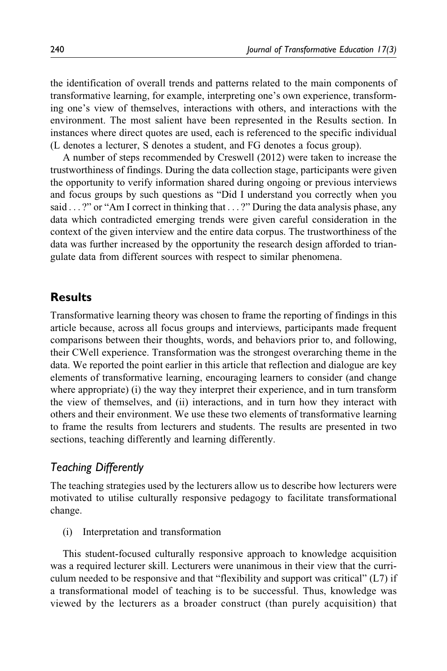the identification of overall trends and patterns related to the main components of transformative learning, for example, interpreting one's own experience, transforming one's view of themselves, interactions with others, and interactions with the environment. The most salient have been represented in the Results section. In instances where direct quotes are used, each is referenced to the specific individual (L denotes a lecturer, S denotes a student, and FG denotes a focus group).

A number of steps recommended by Creswell (2012) were taken to increase the trustworthiness of findings. During the data collection stage, participants were given the opportunity to verify information shared during ongoing or previous interviews and focus groups by such questions as "Did I understand you correctly when you said ... ?" or "Am I correct in thinking that ... ?" During the data analysis phase, any data which contradicted emerging trends were given careful consideration in the context of the given interview and the entire data corpus. The trustworthiness of the data was further increased by the opportunity the research design afforded to triangulate data from different sources with respect to similar phenomena.

# **Results**

Transformative learning theory was chosen to frame the reporting of findings in this article because, across all focus groups and interviews, participants made frequent comparisons between their thoughts, words, and behaviors prior to, and following, their CWell experience. Transformation was the strongest overarching theme in the data. We reported the point earlier in this article that reflection and dialogue are key elements of transformative learning, encouraging learners to consider (and change where appropriate) (i) the way they interpret their experience, and in turn transform the view of themselves, and (ii) interactions, and in turn how they interact with others and their environment. We use these two elements of transformative learning to frame the results from lecturers and students. The results are presented in two sections, teaching differently and learning differently.

# Teaching Differently

The teaching strategies used by the lecturers allow us to describe how lecturers were motivated to utilise culturally responsive pedagogy to facilitate transformational change.

(i) Interpretation and transformation

This student-focused culturally responsive approach to knowledge acquisition was a required lecturer skill. Lecturers were unanimous in their view that the curriculum needed to be responsive and that "flexibility and support was critical" (L7) if a transformational model of teaching is to be successful. Thus, knowledge was viewed by the lecturers as a broader construct (than purely acquisition) that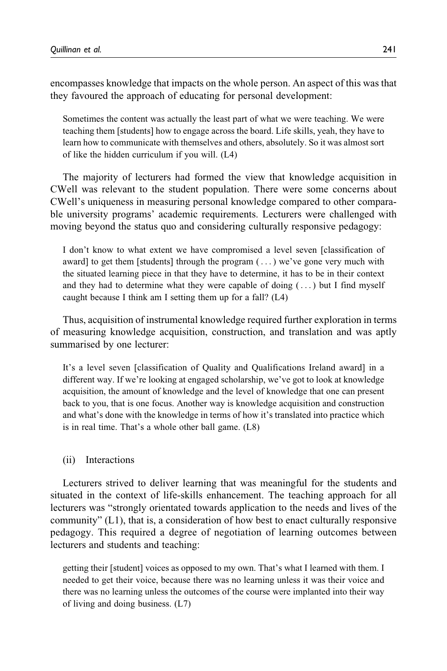encompasses knowledge that impacts on the whole person. An aspect of this was that they favoured the approach of educating for personal development:

Sometimes the content was actually the least part of what we were teaching. We were teaching them [students] how to engage across the board. Life skills, yeah, they have to learn how to communicate with themselves and others, absolutely. So it was almost sort of like the hidden curriculum if you will. (L4)

The majority of lecturers had formed the view that knowledge acquisition in CWell was relevant to the student population. There were some concerns about CWell's uniqueness in measuring personal knowledge compared to other comparable university programs' academic requirements. Lecturers were challenged with moving beyond the status quo and considering culturally responsive pedagogy:

I don't know to what extent we have compromised a level seven [classification of award] to get them [students] through the program ( ... ) we've gone very much with the situated learning piece in that they have to determine, it has to be in their context and they had to determine what they were capable of doing  $(\,\ldots)$  but I find myself caught because I think am I setting them up for a fall? (L4)

Thus, acquisition of instrumental knowledge required further exploration in terms of measuring knowledge acquisition, construction, and translation and was aptly summarised by one lecturer:

It's a level seven [classification of Quality and Qualifications Ireland award] in a different way. If we're looking at engaged scholarship, we've got to look at knowledge acquisition, the amount of knowledge and the level of knowledge that one can present back to you, that is one focus. Another way is knowledge acquisition and construction and what's done with the knowledge in terms of how it's translated into practice which is in real time. That's a whole other ball game. (L8)

### (ii) Interactions

Lecturers strived to deliver learning that was meaningful for the students and situated in the context of life-skills enhancement. The teaching approach for all lecturers was "strongly orientated towards application to the needs and lives of the community" (L1), that is, a consideration of how best to enact culturally responsive pedagogy. This required a degree of negotiation of learning outcomes between lecturers and students and teaching:

getting their [student] voices as opposed to my own. That's what I learned with them. I needed to get their voice, because there was no learning unless it was their voice and there was no learning unless the outcomes of the course were implanted into their way of living and doing business. (L7)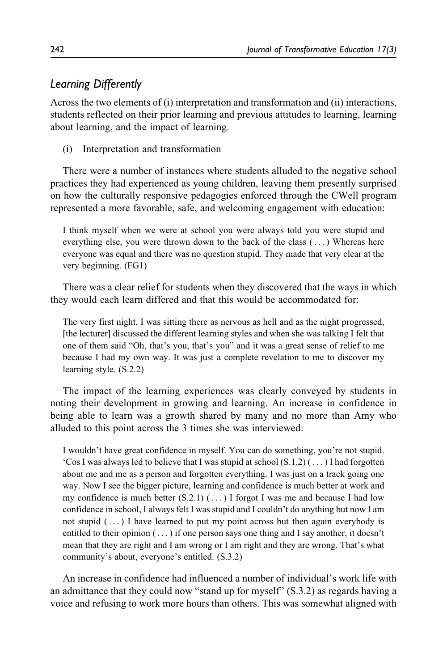# Learning Differently

Across the two elements of (i) interpretation and transformation and (ii) interactions, students reflected on their prior learning and previous attitudes to learning, learning about learning, and the impact of learning.

(i) Interpretation and transformation

There were a number of instances where students alluded to the negative school practices they had experienced as young children, leaving them presently surprised on how the culturally responsive pedagogies enforced through the CWell program represented a more favorable, safe, and welcoming engagement with education:

I think myself when we were at school you were always told you were stupid and everything else, you were thrown down to the back of the class ( ...) Whereas here everyone was equal and there was no question stupid. They made that very clear at the very beginning. (FG1)

There was a clear relief for students when they discovered that the ways in which they would each learn differed and that this would be accommodated for:

The very first night, I was sitting there as nervous as hell and as the night progressed, [the lecturer] discussed the different learning styles and when she was talking I felt that one of them said "Oh, that's you, that's you" and it was a great sense of relief to me because I had my own way. It was just a complete revelation to me to discover my learning style. (S.2.2)

The impact of the learning experiences was clearly conveyed by students in noting their development in growing and learning. An increase in confidence in being able to learn was a growth shared by many and no more than Amy who alluded to this point across the 3 times she was interviewed:

I wouldn't have great confidence in myself. You can do something, you're not stupid. 'Cos I was always led to believe that I was stupid at school (S.1.2) ( ... ) I had forgotten about me and me as a person and forgotten everything. I was just on a track going one way. Now I see the bigger picture, learning and confidence is much better at work and my confidence is much better  $(S.2.1)$   $(\ldots)$  I forgot I was me and because I had low confidence in school, I always felt I was stupid and I couldn't do anything but now I am not stupid ( ...) I have learned to put my point across but then again everybody is entitled to their opinion ( ...) if one person says one thing and I say another, it doesn't mean that they are right and I am wrong or I am right and they are wrong. That's what community's about, everyone's entitled. (S.3.2)

An increase in confidence had influenced a number of individual's work life with an admittance that they could now "stand up for myself" (S.3.2) as regards having a voice and refusing to work more hours than others. This was somewhat aligned with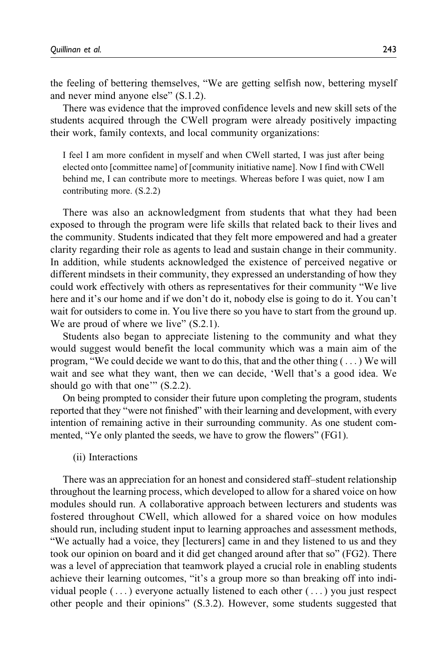the feeling of bettering themselves, "We are getting selfish now, bettering myself and never mind anyone else" (S.1.2).

There was evidence that the improved confidence levels and new skill sets of the students acquired through the CWell program were already positively impacting their work, family contexts, and local community organizations:

I feel I am more confident in myself and when CWell started, I was just after being elected onto [committee name] of [community initiative name]. Now I find with CWell behind me, I can contribute more to meetings. Whereas before I was quiet, now I am contributing more. (S.2.2)

There was also an acknowledgment from students that what they had been exposed to through the program were life skills that related back to their lives and the community. Students indicated that they felt more empowered and had a greater clarity regarding their role as agents to lead and sustain change in their community. In addition, while students acknowledged the existence of perceived negative or different mindsets in their community, they expressed an understanding of how they could work effectively with others as representatives for their community "We live here and it's our home and if we don't do it, nobody else is going to do it. You can't wait for outsiders to come in. You live there so you have to start from the ground up. We are proud of where we live" (S.2.1).

Students also began to appreciate listening to the community and what they would suggest would benefit the local community which was a main aim of the program, "We could decide we want to do this, that and the other thing  $(\ldots)$  We will wait and see what they want, then we can decide, 'Well that's a good idea. We should go with that one" (S.2.2).

On being prompted to consider their future upon completing the program, students reported that they "were not finished" with their learning and development, with every intention of remaining active in their surrounding community. As one student commented, "Ye only planted the seeds, we have to grow the flowers" (FG1).

#### (ii) Interactions

There was an appreciation for an honest and considered staff–student relationship throughout the learning process, which developed to allow for a shared voice on how modules should run. A collaborative approach between lecturers and students was fostered throughout CWell, which allowed for a shared voice on how modules should run, including student input to learning approaches and assessment methods, "We actually had a voice, they [lecturers] came in and they listened to us and they took our opinion on board and it did get changed around after that so" (FG2). There was a level of appreciation that teamwork played a crucial role in enabling students achieve their learning outcomes, "it's a group more so than breaking off into individual people ( ... ) everyone actually listened to each other ( ...) you just respect other people and their opinions" (S.3.2). However, some students suggested that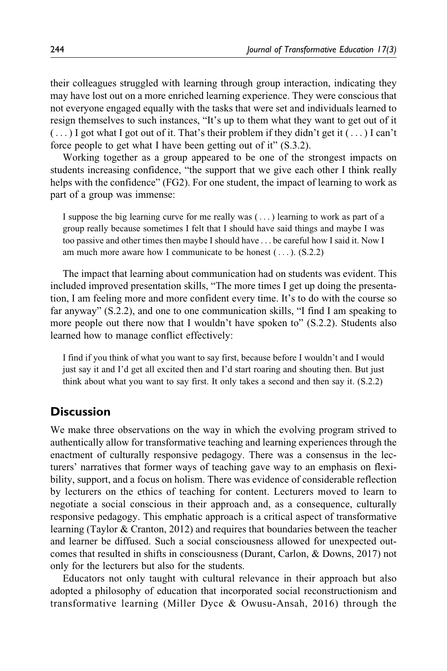their colleagues struggled with learning through group interaction, indicating they may have lost out on a more enriched learning experience. They were conscious that not everyone engaged equally with the tasks that were set and individuals learned to resign themselves to such instances, "It's up to them what they want to get out of it ( ... ) I got what I got out of it. That's their problem if they didn't get it (... ) I can't force people to get what I have been getting out of it" (S.3.2).

Working together as a group appeared to be one of the strongest impacts on students increasing confidence, "the support that we give each other I think really helps with the confidence" (FG2). For one student, the impact of learning to work as part of a group was immense:

I suppose the big learning curve for me really was ( ... ) learning to work as part of a group really because sometimes I felt that I should have said things and maybe I was too passive and other times then maybe I should have ... be careful how I said it. Now I am much more aware how I communicate to be honest  $(\dots)$ .  $(S.2.2)$ 

The impact that learning about communication had on students was evident. This included improved presentation skills, "The more times I get up doing the presentation, I am feeling more and more confident every time. It's to do with the course so far anyway" (S.2.2), and one to one communication skills, "I find I am speaking to more people out there now that I wouldn't have spoken to" (S.2.2). Students also learned how to manage conflict effectively:

I find if you think of what you want to say first, because before I wouldn't and I would just say it and I'd get all excited then and I'd start roaring and shouting then. But just think about what you want to say first. It only takes a second and then say it. (S.2.2)

# **Discussion**

We make three observations on the way in which the evolving program strived to authentically allow for transformative teaching and learning experiences through the enactment of culturally responsive pedagogy. There was a consensus in the lecturers' narratives that former ways of teaching gave way to an emphasis on flexibility, support, and a focus on holism. There was evidence of considerable reflection by lecturers on the ethics of teaching for content. Lecturers moved to learn to negotiate a social conscious in their approach and, as a consequence, culturally responsive pedagogy. This emphatic approach is a critical aspect of transformative learning (Taylor & Cranton, 2012) and requires that boundaries between the teacher and learner be diffused. Such a social consciousness allowed for unexpected outcomes that resulted in shifts in consciousness (Durant, Carlon, & Downs, 2017) not only for the lecturers but also for the students.

Educators not only taught with cultural relevance in their approach but also adopted a philosophy of education that incorporated social reconstructionism and transformative learning (Miller Dyce & Owusu-Ansah, 2016) through the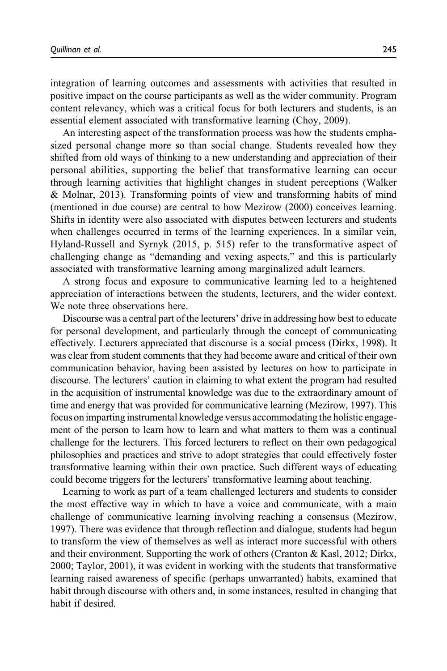integration of learning outcomes and assessments with activities that resulted in positive impact on the course participants as well as the wider community. Program content relevancy, which was a critical focus for both lecturers and students, is an essential element associated with transformative learning (Choy, 2009).

An interesting aspect of the transformation process was how the students emphasized personal change more so than social change. Students revealed how they shifted from old ways of thinking to a new understanding and appreciation of their personal abilities, supporting the belief that transformative learning can occur through learning activities that highlight changes in student perceptions (Walker & Molnar, 2013). Transforming points of view and transforming habits of mind (mentioned in due course) are central to how Mezirow (2000) conceives learning. Shifts in identity were also associated with disputes between lecturers and students when challenges occurred in terms of the learning experiences. In a similar vein, Hyland-Russell and Syrnyk (2015, p. 515) refer to the transformative aspect of challenging change as "demanding and vexing aspects," and this is particularly associated with transformative learning among marginalized adult learners.

A strong focus and exposure to communicative learning led to a heightened appreciation of interactions between the students, lecturers, and the wider context. We note three observations here.

Discourse was a central part of the lecturers' drive in addressing how best to educate for personal development, and particularly through the concept of communicating effectively. Lecturers appreciated that discourse is a social process (Dirkx, 1998). It was clear from student comments that they had become aware and critical of their own communication behavior, having been assisted by lectures on how to participate in discourse. The lecturers' caution in claiming to what extent the program had resulted in the acquisition of instrumental knowledge was due to the extraordinary amount of time and energy that was provided for communicative learning (Mezirow, 1997). This focus on imparting instrumental knowledge versus accommodating the holistic engagement of the person to learn how to learn and what matters to them was a continual challenge for the lecturers. This forced lecturers to reflect on their own pedagogical philosophies and practices and strive to adopt strategies that could effectively foster transformative learning within their own practice. Such different ways of educating could become triggers for the lecturers' transformative learning about teaching.

Learning to work as part of a team challenged lecturers and students to consider the most effective way in which to have a voice and communicate, with a main challenge of communicative learning involving reaching a consensus (Mezirow, 1997). There was evidence that through reflection and dialogue, students had begun to transform the view of themselves as well as interact more successful with others and their environment. Supporting the work of others (Cranton & Kasl, 2012; Dirkx, 2000; Taylor, 2001), it was evident in working with the students that transformative learning raised awareness of specific (perhaps unwarranted) habits, examined that habit through discourse with others and, in some instances, resulted in changing that habit if desired.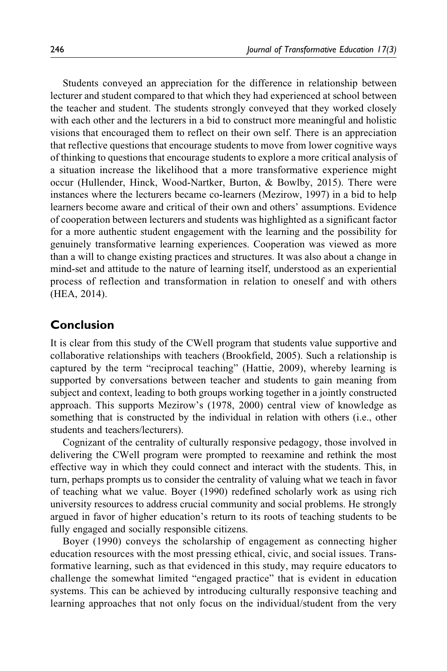Students conveyed an appreciation for the difference in relationship between lecturer and student compared to that which they had experienced at school between the teacher and student. The students strongly conveyed that they worked closely with each other and the lecturers in a bid to construct more meaningful and holistic visions that encouraged them to reflect on their own self. There is an appreciation that reflective questions that encourage students to move from lower cognitive ways of thinking to questions that encourage students to explore a more critical analysis of a situation increase the likelihood that a more transformative experience might occur (Hullender, Hinck, Wood-Nartker, Burton, & Bowlby, 2015). There were instances where the lecturers became co-learners (Mezirow, 1997) in a bid to help learners become aware and critical of their own and others' assumptions. Evidence of cooperation between lecturers and students was highlighted as a significant factor for a more authentic student engagement with the learning and the possibility for genuinely transformative learning experiences. Cooperation was viewed as more than a will to change existing practices and structures. It was also about a change in mind-set and attitude to the nature of learning itself, understood as an experiential process of reflection and transformation in relation to oneself and with others (HEA, 2014).

## Conclusion

It is clear from this study of the CWell program that students value supportive and collaborative relationships with teachers (Brookfield, 2005). Such a relationship is captured by the term "reciprocal teaching" (Hattie, 2009), whereby learning is supported by conversations between teacher and students to gain meaning from subject and context, leading to both groups working together in a jointly constructed approach. This supports Mezirow's (1978, 2000) central view of knowledge as something that is constructed by the individual in relation with others (i.e., other students and teachers/lecturers).

Cognizant of the centrality of culturally responsive pedagogy, those involved in delivering the CWell program were prompted to reexamine and rethink the most effective way in which they could connect and interact with the students. This, in turn, perhaps prompts us to consider the centrality of valuing what we teach in favor of teaching what we value. Boyer (1990) redefined scholarly work as using rich university resources to address crucial community and social problems. He strongly argued in favor of higher education's return to its roots of teaching students to be fully engaged and socially responsible citizens.

Boyer (1990) conveys the scholarship of engagement as connecting higher education resources with the most pressing ethical, civic, and social issues. Transformative learning, such as that evidenced in this study, may require educators to challenge the somewhat limited "engaged practice" that is evident in education systems. This can be achieved by introducing culturally responsive teaching and learning approaches that not only focus on the individual/student from the very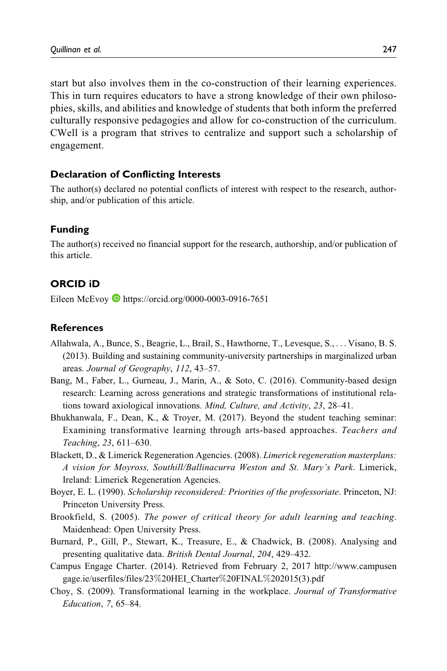start but also involves them in the co-construction of their learning experiences. This in turn requires educators to have a strong knowledge of their own philosophies, skills, and abilities and knowledge of students that both inform the preferred culturally responsive pedagogies and allow for co-construction of the curriculum. CWell is a program that strives to centralize and support such a scholarship of engagement.

#### Declaration of Conflicting Interests

The author(s) declared no potential conflicts of interest with respect to the research, authorship, and/or publication of this article.

#### Funding

The author(s) received no financial support for the research, authorship, and/or publication of this article.

### ORCID iD

Eileen McEvoy <https://orcid.org/0000-0003-0916-7651>

### **References**

- Allahwala, A., Bunce, S., Beagrie, L., Brail, S., Hawthorne, T., Levesque, S., ... Visano, B. S. (2013). Building and sustaining community-university partnerships in marginalized urban areas. Journal of Geography, 112, 43–57.
- Bang, M., Faber, L., Gurneau, J., Marin, A., & Soto, C. (2016). Community-based design research: Learning across generations and strategic transformations of institutional relations toward axiological innovations. Mind, Culture, and Activity, 23, 28–41.
- Bhukhanwala, F., Dean, K., & Troyer, M. (2017). Beyond the student teaching seminar: Examining transformative learning through arts-based approaches. Teachers and Teaching, 23, 611–630.
- Blackett, D., & Limerick Regeneration Agencies. (2008). Limerick regeneration masterplans: A vision for Moyross, Southill/Ballinacurra Weston and St. Mary's Park. Limerick, Ireland: Limerick Regeneration Agencies.
- Boyer, E. L. (1990). Scholarship reconsidered: Priorities of the professoriate. Princeton, NJ: Princeton University Press.
- Brookfield, S. (2005). The power of critical theory for adult learning and teaching. Maidenhead: Open University Press.
- Burnard, P., Gill, P., Stewart, K., Treasure, E., & Chadwick, B. (2008). Analysing and presenting qualitative data. British Dental Journal, 204, 429–432.
- Campus Engage Charter. (2014). Retrieved from February 2, 2017 [http://www.campusen](http://www.campusengage.ie/userfiles/files/23%20HEI_Charter%20FINAL%202015(3).pdf) [gage.ie/userfiles/files/23](http://www.campusengage.ie/userfiles/files/23%20HEI_Charter%20FINAL%202015(3).pdf)%[20HEI\\_Charter](http://www.campusengage.ie/userfiles/files/23%20HEI_Charter%20FINAL%202015(3).pdf)%[20FINAL](http://www.campusengage.ie/userfiles/files/23%20HEI_Charter%20FINAL%202015(3).pdf)%[202015\(3\).pdf](http://www.campusengage.ie/userfiles/files/23%20HEI_Charter%20FINAL%202015(3).pdf)
- Choy, S. (2009). Transformational learning in the workplace. Journal of Transformative Education, 7, 65–84.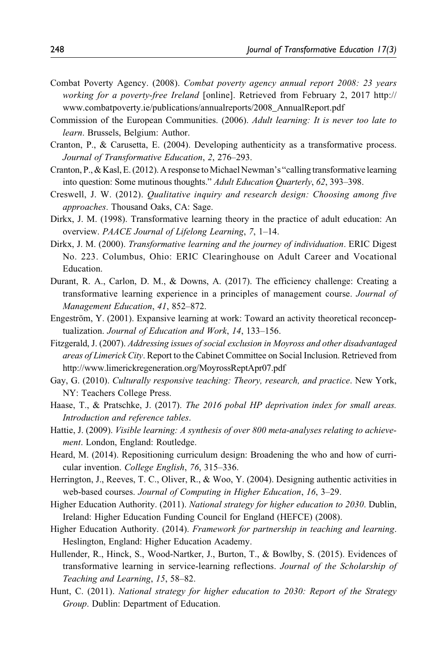- Combat Poverty Agency. (2008). Combat poverty agency annual report 2008: 23 years working for a poverty-free Ireland [online]. Retrieved from February 2, 2017 [http://](http://www.combatpoverty.ie/publications/annualreports/2008_AnnualReport.pdf) [www.combatpoverty.ie/publications/annualreports/2008\\_AnnualReport.pdf](http://www.combatpoverty.ie/publications/annualreports/2008_AnnualReport.pdf)
- Commission of the European Communities. (2006). Adult learning: It is never too late to learn. Brussels, Belgium: Author.
- Cranton, P., & Carusetta, E. (2004). Developing authenticity as a transformative process. Journal of Transformative Education, 2, 276–293.
- Cranton, P., & Kasl, E. (2012). A response to Michael Newman's "calling transformative learning into question: Some mutinous thoughts." Adult Education Quarterly, 62, 393–398.
- Creswell, J. W. (2012). Qualitative inquiry and research design: Choosing among five approaches. Thousand Oaks, CA: Sage.
- Dirkx, J. M. (1998). Transformative learning theory in the practice of adult education: An overview. PAACE Journal of Lifelong Learning, 7, 1–14.
- Dirkx, J. M. (2000). Transformative learning and the journey of individuation. ERIC Digest No. 223. Columbus, Ohio: ERIC Clearinghouse on Adult Career and Vocational Education.
- Durant, R. A., Carlon, D. M., & Downs, A. (2017). The efficiency challenge: Creating a transformative learning experience in a principles of management course. Journal of Management Education, 41, 852–872.
- Engeström, Y. (2001). Expansive learning at work: Toward an activity theoretical reconceptualization. Journal of Education and Work, 14, 133–156.
- Fitzgerald, J. (2007). Addressing issues of social exclusion in Moyross and other disadvantaged areas of Limerick City. Report to the Cabinet Committee on Social Inclusion. Retrieved from <http://www.limerickregeneration.org/MoyrossReptApr07.pdf>
- Gay, G. (2010). Culturally responsive teaching: Theory, research, and practice. New York, NY: Teachers College Press.
- Haase, T., & Pratschke, J. (2017). The 2016 pobal HP deprivation index for small areas. Introduction and reference tables.
- Hattie, J. (2009). Visible learning: A synthesis of over 800 meta-analyses relating to achievement. London, England: Routledge.
- Heard, M. (2014). Repositioning curriculum design: Broadening the who and how of curricular invention. College English, 76, 315–336.
- Herrington, J., Reeves, T. C., Oliver, R., & Woo, Y. (2004). Designing authentic activities in web-based courses. Journal of Computing in Higher Education, 16, 3-29.
- Higher Education Authority. (2011). National strategy for higher education to 2030. Dublin, Ireland: Higher Education Funding Council for England (HEFCE) (2008).
- Higher Education Authority. (2014). Framework for partnership in teaching and learning. Heslington, England: Higher Education Academy.
- Hullender, R., Hinck, S., Wood-Nartker, J., Burton, T., & Bowlby, S. (2015). Evidences of transformative learning in service-learning reflections. Journal of the Scholarship of Teaching and Learning, 15, 58–82.
- Hunt, C. (2011). National strategy for higher education to 2030: Report of the Strategy Group. Dublin: Department of Education.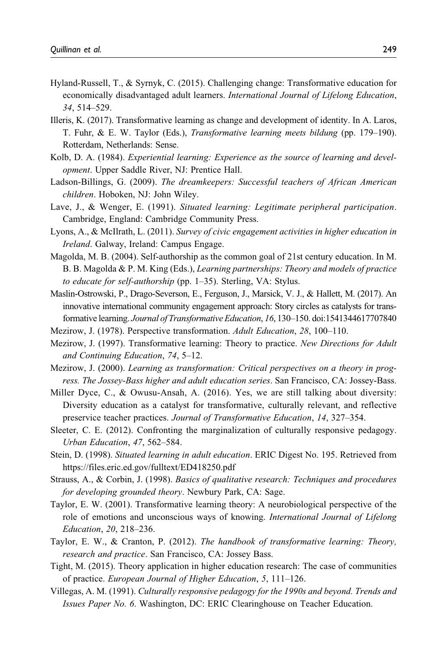- Hyland-Russell, T., & Syrnyk, C. (2015). Challenging change: Transformative education for economically disadvantaged adult learners. International Journal of Lifelong Education, 34, 514–529.
- Illeris, K. (2017). Transformative learning as change and development of identity. In A. Laros, T. Fuhr, & E. W. Taylor (Eds.), *Transformative learning meets bildung* (pp. 179-190). Rotterdam, Netherlands: Sense.
- Kolb, D. A. (1984). Experiential learning: Experience as the source of learning and development. Upper Saddle River, NJ: Prentice Hall.
- Ladson-Billings, G. (2009). The dreamkeepers: Successful teachers of African American children. Hoboken, NJ: John Wiley.
- Lave, J., & Wenger, E. (1991). Situated learning: Legitimate peripheral participation. Cambridge, England: Cambridge Community Press.
- Lyons, A., & McIlrath, L. (2011). Survey of civic engagement activities in higher education in Ireland. Galway, Ireland: Campus Engage.
- Magolda, M. B. (2004). Self-authorship as the common goal of 21st century education. In M. B. B. Magolda & P. M. King (Eds.), Learning partnerships: Theory and models of practice to educate for self-authorship (pp. 1–35). Sterling, VA: Stylus.
- Maslin-Ostrowski, P., Drago-Severson, E., Ferguson, J., Marsick, V. J., & Hallett, M. (2017). An innovative international community engagement approach: Story circles as catalysts for transformative learning. Journal of Transformative Education, 16, 130–150. doi:1541344617707840
- Mezirow, J. (1978). Perspective transformation. Adult Education, 28, 100–110.
- Mezirow, J. (1997). Transformative learning: Theory to practice. New Directions for Adult and Continuing Education, 74, 5–12.
- Mezirow, J. (2000). Learning as transformation: Critical perspectives on a theory in progress. The Jossey-Bass higher and adult education series. San Francisco, CA: Jossey-Bass.
- Miller Dyce, C., & Owusu-Ansah, A. (2016). Yes, we are still talking about diversity: Diversity education as a catalyst for transformative, culturally relevant, and reflective preservice teacher practices. Journal of Transformative Education, 14, 327-354.
- Sleeter, C. E. (2012). Confronting the marginalization of culturally responsive pedagogy. Urban Education, 47, 562–584.
- Stein, D. (1998). Situated learning in adult education. ERIC Digest No. 195. Retrieved from <https://files.eric.ed.gov/fulltext/ED418250.pdf>
- Strauss, A., & Corbin, J. (1998). Basics of qualitative research: Techniques and procedures for developing grounded theory. Newbury Park, CA: Sage.
- Taylor, E. W. (2001). Transformative learning theory: A neurobiological perspective of the role of emotions and unconscious ways of knowing. International Journal of Lifelong Education, 20, 218–236.
- Taylor, E. W., & Cranton, P. (2012). The handbook of transformative learning: Theory, research and practice. San Francisco, CA: Jossey Bass.
- Tight, M. (2015). Theory application in higher education research: The case of communities of practice. European Journal of Higher Education, 5, 111–126.
- Villegas, A. M. (1991). Culturally responsive pedagogy for the 1990s and beyond. Trends and Issues Paper No. 6. Washington, DC: ERIC Clearinghouse on Teacher Education.